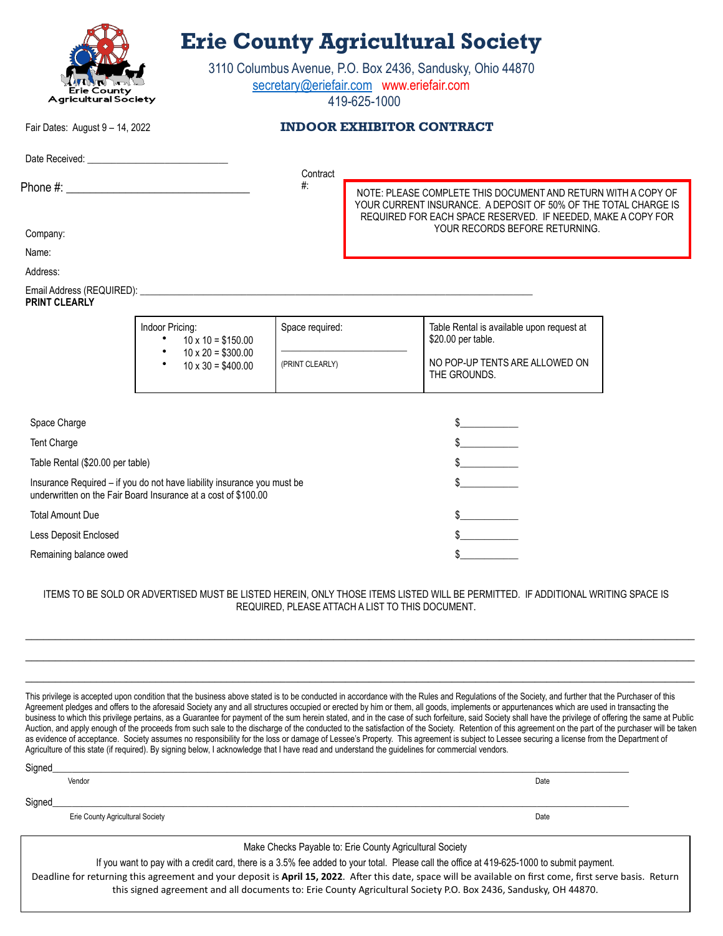|                                                                                                                                                                                                                                |                                                                                                                                           | 3110 Columbus Avenue, P.O. Box 2436, Sandusky, Ohio 44870<br>secretary@eriefair.com www.eriefair.com<br>419-625-1000 |                                                                                                                                  |  |  |
|--------------------------------------------------------------------------------------------------------------------------------------------------------------------------------------------------------------------------------|-------------------------------------------------------------------------------------------------------------------------------------------|----------------------------------------------------------------------------------------------------------------------|----------------------------------------------------------------------------------------------------------------------------------|--|--|
|                                                                                                                                                                                                                                |                                                                                                                                           |                                                                                                                      |                                                                                                                                  |  |  |
| County<br><b>Agricultural Society</b>                                                                                                                                                                                          |                                                                                                                                           |                                                                                                                      |                                                                                                                                  |  |  |
| Fair Dates: August 9 - 14, 2022                                                                                                                                                                                                |                                                                                                                                           | <b>INDOOR EXHIBITOR CONTRACT</b>                                                                                     |                                                                                                                                  |  |  |
| Date Received: Management Property and Property and Property and Property and Property and Property and Property and Property and Property and Property and Property and Property and Property and Property and Property and P |                                                                                                                                           |                                                                                                                      |                                                                                                                                  |  |  |
|                                                                                                                                                                                                                                |                                                                                                                                           | Contract<br>$#$ :                                                                                                    |                                                                                                                                  |  |  |
|                                                                                                                                                                                                                                |                                                                                                                                           |                                                                                                                      | NOTE: PLEASE COMPLETE THIS DOCUMENT AND RETURN WITH A COPY OF<br>YOUR CURRENT INSURANCE. A DEPOSIT OF 50% OF THE TOTAL CHARGE IS |  |  |
|                                                                                                                                                                                                                                |                                                                                                                                           |                                                                                                                      | REQUIRED FOR EACH SPACE RESERVED. IF NEEDED, MAKE A COPY FOR                                                                     |  |  |
| Company:                                                                                                                                                                                                                       |                                                                                                                                           |                                                                                                                      | YOUR RECORDS BEFORE RETURNING.                                                                                                   |  |  |
| Name:                                                                                                                                                                                                                          |                                                                                                                                           |                                                                                                                      |                                                                                                                                  |  |  |
| Address:                                                                                                                                                                                                                       |                                                                                                                                           |                                                                                                                      |                                                                                                                                  |  |  |
| <b>PRINT CLEARLY</b>                                                                                                                                                                                                           |                                                                                                                                           |                                                                                                                      |                                                                                                                                  |  |  |
|                                                                                                                                                                                                                                | Indoor Pricing:<br>$10 \times 10 = $150.00$                                                                                               | Space required:                                                                                                      | Table Rental is available upon request at<br>\$20.00 per table.                                                                  |  |  |
|                                                                                                                                                                                                                                |                                                                                                                                           |                                                                                                                      |                                                                                                                                  |  |  |
|                                                                                                                                                                                                                                | $10 \times 20 = $300.00$<br>$10 \times 30 = $400.00$                                                                                      | (PRINT CLEARLY)                                                                                                      | NO POP-UP TENTS ARE ALLOWED ON<br>THE GROUNDS.                                                                                   |  |  |
|                                                                                                                                                                                                                                |                                                                                                                                           |                                                                                                                      |                                                                                                                                  |  |  |
| Space Charge                                                                                                                                                                                                                   |                                                                                                                                           |                                                                                                                      |                                                                                                                                  |  |  |
| Tent Charge                                                                                                                                                                                                                    |                                                                                                                                           |                                                                                                                      | $\frac{1}{2}$                                                                                                                    |  |  |
| Table Rental (\$20.00 per table)                                                                                                                                                                                               |                                                                                                                                           |                                                                                                                      | $\frac{1}{2}$                                                                                                                    |  |  |
|                                                                                                                                                                                                                                | Insurance Required - if you do not have liability insurance you must be<br>underwritten on the Fair Board Insurance at a cost of \$100.00 |                                                                                                                      | $\frac{1}{2}$                                                                                                                    |  |  |
| <b>Total Amount Due</b>                                                                                                                                                                                                        |                                                                                                                                           |                                                                                                                      |                                                                                                                                  |  |  |
| Less Deposit Enclosed                                                                                                                                                                                                          |                                                                                                                                           |                                                                                                                      |                                                                                                                                  |  |  |

 $\_$  , and the set of the set of the set of the set of the set of the set of the set of the set of the set of the set of the set of the set of the set of the set of the set of the set of the set of the set of the set of th This privilege is accepted upon condition that the business above stated is to be conducted in accordance with the Rules and Regulations of the Society, and further that the Purchaser of this Agreement pledges and offers to the aforesaid Society any and all structures occupied or erected by him or them, all goods, implements or appurtenances which are used in transacting the business to which this privilege pertains, as a Guarantee for payment of the sum herein stated, and in the case of such forfeiture, said Society shall have the privilege of offering the same at Public Auction, and apply enough of the proceeds from such sale to the discharge of the conducted to the satisfaction of the Society. Retention of this agreement on the part of the purchaser will be taken

 $\_$  , and the set of the set of the set of the set of the set of the set of the set of the set of the set of the set of the set of the set of the set of the set of the set of the set of the set of the set of the set of th  $\_$  , and the set of the set of the set of the set of the set of the set of the set of the set of the set of the set of the set of the set of the set of the set of the set of the set of the set of the set of the set of th

REQUIRED, PLEASE ATTACH A LIST TO THIS DOCUMENT.

|                                                          | as evidence of acceptance. Society assumes no responsibility for the loss or damage of Lessee's Property. This agreement is subject to Lessee securing a license from the Department of<br>Agriculture of this state (if required). By signing below, I acknowledge that I have read and understand the guidelines for commercial vendors. |      |  |  |
|----------------------------------------------------------|--------------------------------------------------------------------------------------------------------------------------------------------------------------------------------------------------------------------------------------------------------------------------------------------------------------------------------------------|------|--|--|
| Signed                                                   |                                                                                                                                                                                                                                                                                                                                            |      |  |  |
|                                                          | Vendor                                                                                                                                                                                                                                                                                                                                     | Date |  |  |
| Signed                                                   |                                                                                                                                                                                                                                                                                                                                            |      |  |  |
|                                                          | Erie County Agricultural Society                                                                                                                                                                                                                                                                                                           | Date |  |  |
| Make Checks Payable to: Erie County Agricultural Society |                                                                                                                                                                                                                                                                                                                                            |      |  |  |
|                                                          | If you want to pay with a credit card, there is a 3.5% fee added to your total. Please call the office at 419-625-1000 to submit payment.<br>Deadline for returning this agreement and your deposit is April 15, 2022. After this date, space will be available on first come, first serve basis. Return                                   |      |  |  |

this signed agreement and all documents to: Erie County Agricultural Society P.O. Box 2436, Sandusky, OH 44870.